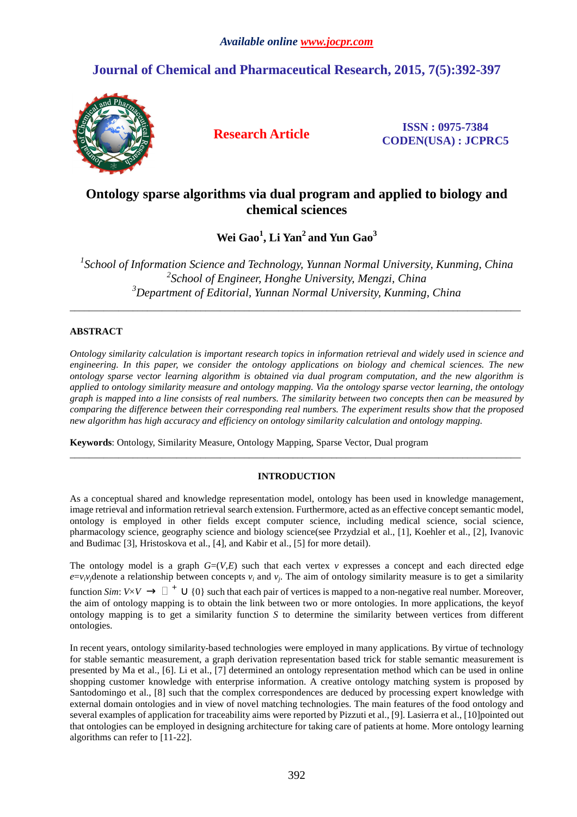# **Journal of Chemical and Pharmaceutical Research, 2015, 7(5):392-397**



**Research Article ISSN : 0975-7384 CODEN(USA) : JCPRC5**

# **Ontology sparse algorithms via dual program and applied to biology and chemical sciences**

**Wei Gao<sup>1</sup> , Li Yan<sup>2</sup>and Yun Gao<sup>3</sup>**

<sup>1</sup> School of Information Science and Technology, Yunnan Normal University, Kunming, China *2 School of Engineer, Honghe University, Mengzi, China <sup>3</sup>Department of Editorial, Yunnan Normal University, Kunming, China* 

\_\_\_\_\_\_\_\_\_\_\_\_\_\_\_\_\_\_\_\_\_\_\_\_\_\_\_\_\_\_\_\_\_\_\_\_\_\_\_\_\_\_\_\_\_\_\_\_\_\_\_\_\_\_\_\_\_\_\_\_\_\_\_\_\_\_\_\_\_\_\_\_\_\_\_\_\_\_\_\_\_\_\_\_\_\_\_\_\_\_\_\_\_

# **ABSTRACT**

*Ontology similarity calculation is important research topics in information retrieval and widely used in science and engineering. In this paper, we consider the ontology applications on biology and chemical sciences. The new ontology sparse vector learning algorithm is obtained via dual program computation, and the new algorithm is applied to ontology similarity measure and ontology mapping. Via the ontology sparse vector learning, the ontology graph is mapped into a line consists of real numbers. The similarity between two concepts then can be measured by comparing the difference between their corresponding real numbers. The experiment results show that the proposed new algorithm has high accuracy and efficiency on ontology similarity calculation and ontology mapping.* 

**Keywords**: Ontology, Similarity Measure, Ontology Mapping, Sparse Vector, Dual program

# **INTRODUCTION**

\_\_\_\_\_\_\_\_\_\_\_\_\_\_\_\_\_\_\_\_\_\_\_\_\_\_\_\_\_\_\_\_\_\_\_\_\_\_\_\_\_\_\_\_\_\_\_\_\_\_\_\_\_\_\_\_\_\_\_\_\_\_\_\_\_\_\_\_\_\_\_\_\_\_\_\_\_\_\_\_\_\_\_\_\_\_\_\_\_\_\_\_\_

As a conceptual shared and knowledge representation model, ontology has been used in knowledge management, image retrieval and information retrieval search extension. Furthermore, acted as an effective concept semantic model, ontology is employed in other fields except computer science, including medical science, social science, pharmacology science, geography science and biology science(see Przydzial et al., [1], Koehler et al., [2], Ivanovic and Budimac [3], Hristoskova et al., [4], and Kabir et al., [5] for more detail).

The ontology model is a graph  $G=(V,E)$  such that each vertex  $v$  expresses a concept and each directed edge  $e=v_i v_j$  denote a relationship between concepts  $v_i$  and  $v_j$ . The aim of ontology similarity measure is to get a similarity function *Sim*:  $V \times V \to \Box^+ \cup \{0\}$  such that each pair of vertices is mapped to a non-negative real number. Moreover, the aim of ontology mapping is to obtain the link between two or more ontologies. In more applications, the keyof ontology mapping is to get a similarity function *S* to determine the similarity between vertices from different ontologies.

In recent years, ontology similarity-based technologies were employed in many applications. By virtue of technology for stable semantic measurement, a graph derivation representation based trick for stable semantic measurement is presented by Ma et al., [6]. Li et al., [7] determined an ontology representation method which can be used in online shopping customer knowledge with enterprise information. A creative ontology matching system is proposed by Santodomingo et al., [8] such that the complex correspondences are deduced by processing expert knowledge with external domain ontologies and in view of novel matching technologies. The main features of the food ontology and several examples of application for traceability aims were reported by Pizzuti et al., [9]. Lasierra et al., [10]pointed out that ontologies can be employed in designing architecture for taking care of patients at home. More ontology learning algorithms can refer to [11-22].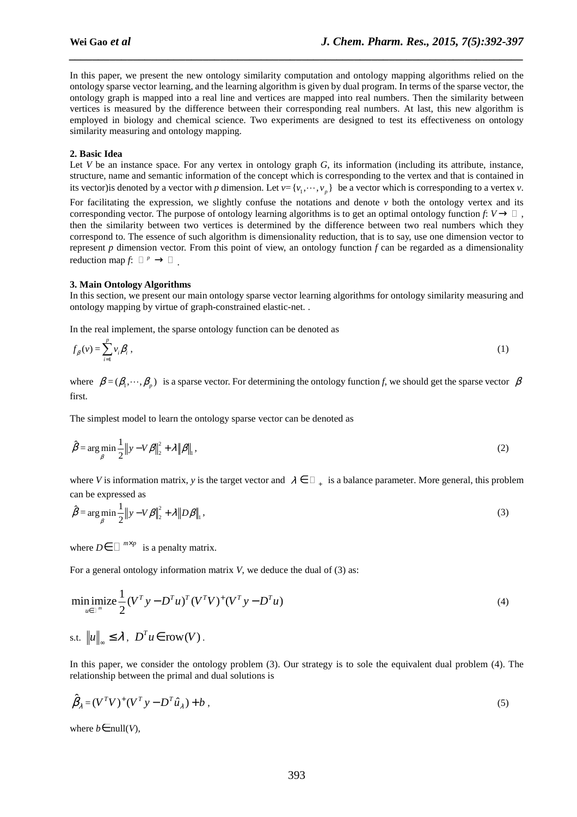In this paper, we present the new ontology similarity computation and ontology mapping algorithms relied on the ontology sparse vector learning, and the learning algorithm is given by dual program. In terms of the sparse vector, the ontology graph is mapped into a real line and vertices are mapped into real numbers. Then the similarity between vertices is measured by the difference between their corresponding real numbers. At last, this new algorithm is employed in biology and chemical science. Two experiments are designed to test its effectiveness on ontology similarity measuring and ontology mapping.

*\_\_\_\_\_\_\_\_\_\_\_\_\_\_\_\_\_\_\_\_\_\_\_\_\_\_\_\_\_\_\_\_\_\_\_\_\_\_\_\_\_\_\_\_\_\_\_\_\_\_\_\_\_\_\_\_\_\_\_\_\_\_\_\_\_\_\_\_\_\_\_\_\_\_\_\_\_\_*

# **2. Basic Idea**

Let *V* be an instance space. For any vertex in ontology graph *G*, its information (including its attribute, instance, structure, name and semantic information of the concept which is corresponding to the vertex and that is contained in its vector) is denoted by a vector with *p* dimension. Let  $v = \{v_1, \dots, v_p\}$  be a vector which is corresponding to a vertex *v*.

For facilitating the expression, we slightly confuse the notations and denote  $\nu$  both the ontology vertex and its corresponding vector. The purpose of ontology learning algorithms is to get an optimal ontology function  $f: V \to \mathbb{D}$ , then the similarity between two vertices is determined by the difference between two real numbers which they correspond to. The essence of such algorithm is dimensionality reduction, that is to say, use one dimension vector to represent *p* dimension vector. From this point of view, an ontology function *f* can be regarded as a dimensionality reduction map  $f: \Box^p \to \Box$ .

## **3. Main Ontology Algorithms**

In this section, we present our main ontology sparse vector learning algorithms for ontology similarity measuring and ontology mapping by virtue of graph-constrained elastic-net. .

In the real implement, the sparse ontology function can be denoted as

$$
f_{\beta}(v) = \sum_{i=1}^{p} v_i \beta_i , \qquad (1)
$$

where  $\beta = (\beta_1, \dots, \beta_p)$  is a sparse vector. For determining the ontology function *f*, we should get the sparse vector  $\beta$ first.

The simplest model to learn the ontology sparse vector can be denoted as

$$
\hat{\beta} = \arg\min_{\beta} \frac{1}{2} \|y - V\beta\|_{2}^{2} + \lambda \|\beta\|_{1},
$$
\n(2)

where *V* is information matrix, *y* is the target vector and  $\lambda \in \mathbb{Z}_+$  is a balance parameter. More general, this problem can be expressed as

$$
\hat{\beta} = \arg\min_{\beta} \frac{1}{2} \|y - V\beta\|_{2}^{2} + \lambda \|D\beta\|_{1},
$$
\n(3)

where  $D \in \Box^{m \times p}$  is a penalty matrix.

For a general ontology information matrix *V*, we deduce the dual of (3) as:

$$
\min_{u \in \mathbb{D}^m} \text{imize} \frac{1}{2} (V^T y - D^T u)^T (V^T V)^+ (V^T y - D^T u)
$$
\n(4)

s.t. 
$$
||u||_{\infty} \le \lambda
$$
,  $D^T u \in \text{row}(V)$ .

In this paper, we consider the ontology problem (3). Our strategy is to sole the equivalent dual problem (4). The relationship between the primal and dual solutions is

$$
\hat{\beta}_{\lambda} = (V^{T}V)^{+}(V^{T}y - D^{T}\hat{u}_{\lambda}) + b , \qquad (5)
$$

where  $b \in \text{null}(V)$ ,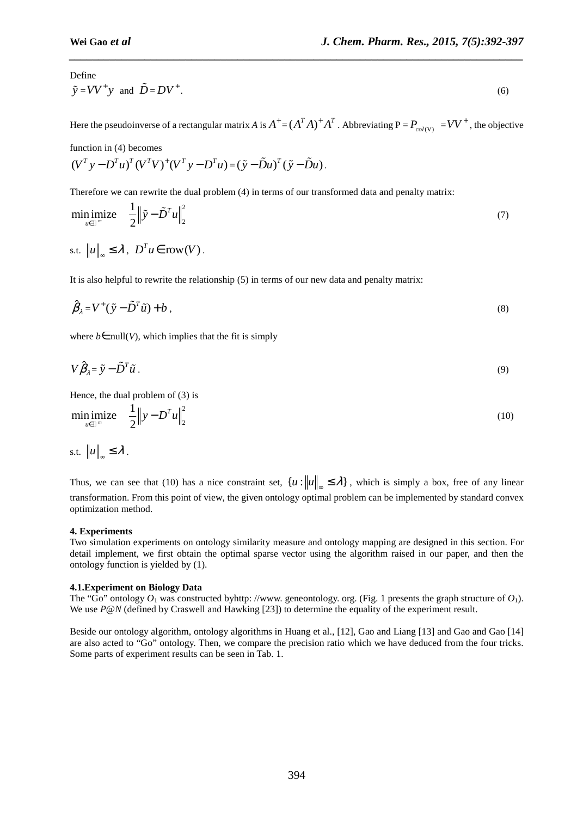Define

$$
\tilde{y} = VV^{+}y \text{ and } \tilde{D} = DV^{+}.
$$
 (6)

Here the pseudoinverse of a rectangular matrix *A* is  $A^+ = (A^T A)^+ A^T$ . Abbreviating  $P = P_{col(V)} = VV^+$ , the objective

*\_\_\_\_\_\_\_\_\_\_\_\_\_\_\_\_\_\_\_\_\_\_\_\_\_\_\_\_\_\_\_\_\_\_\_\_\_\_\_\_\_\_\_\_\_\_\_\_\_\_\_\_\_\_\_\_\_\_\_\_\_\_\_\_\_\_\_\_\_\_\_\_\_\_\_\_\_\_*

function in (4) becomes  
\n
$$
(V^T y - D^T u)^T (V^T V)^+ (V^T y - D^T u) = (\tilde{y} - \tilde{D}u)^T (\tilde{y} - \tilde{D}u).
$$

Therefore we can rewrite the dual problem (4) in terms of our transformed data and penalty matrix:

$$
\underset{u \in \mathbb{D}^m}{\text{minimize}} \quad \frac{1}{2} \left\| \tilde{y} - \tilde{D}^T u \right\|_2^2 \tag{7}
$$

s.t. 
$$
||u||_{\infty} \leq \lambda
$$
,  $D^T u \in \text{row}(V)$ .

It is also helpful to rewrite the relationship (5) in terms of our new data and penalty matrix:

$$
\hat{\beta}_\lambda = V^+(\tilde{y} - \tilde{D}^T\tilde{u}) + b\,,\tag{8}
$$

where  $b \in \text{null}(V)$ , which implies that the fit is simply

$$
V\hat{\beta}_\lambda = \tilde{y} - \tilde{D}^T \tilde{u} \tag{9}
$$

Hence, the dual problem of (3) is

$$
\min_{u \in \mathbb{I}^m} \text{imize} \quad \frac{1}{2} \left\| y - D^T u \right\|_2^2
$$
\n
$$
\text{s.t.} \quad \left\| u \right\|_{\infty} \le \lambda \, . \tag{10}
$$

Thus, we can see that (10) has a nice constraint set,  $\{u : ||u||_{\infty} \leq \lambda\}$ , which is simply a box, free of any linear transformation. From this point of view, the given ontology optimal problem can be implemented by standard convex optimization method.

#### **4. Experiments**

Two simulation experiments on ontology similarity measure and ontology mapping are designed in this section. For detail implement, we first obtain the optimal sparse vector using the algorithm raised in our paper, and then the ontology function is yielded by (1).

#### **4.1.Experiment on Biology Data**

The "Go" ontology  $O_1$  was constructed byhttp: //www. geneontology. org. (Fig. 1 presents the graph structure of  $O_1$ ). We use *P*<sup>@</sup>*N* (defined by Craswell and Hawking [23]) to determine the equality of the experiment result.

Beside our ontology algorithm, ontology algorithms in Huang et al., [12], Gao and Liang [13] and Gao and Gao [14] are also acted to "Go" ontology. Then, we compare the precision ratio which we have deduced from the four tricks. Some parts of experiment results can be seen in Tab. 1.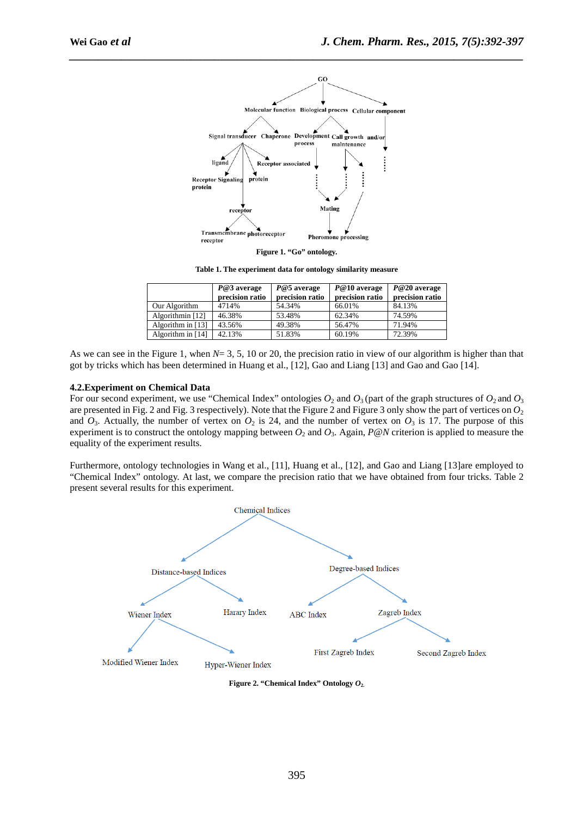

*\_\_\_\_\_\_\_\_\_\_\_\_\_\_\_\_\_\_\_\_\_\_\_\_\_\_\_\_\_\_\_\_\_\_\_\_\_\_\_\_\_\_\_\_\_\_\_\_\_\_\_\_\_\_\_\_\_\_\_\_\_\_\_\_\_\_\_\_\_\_\_\_\_\_\_\_\_\_*

**Figure 1. "Go" ontology.** 

**Table 1. The experiment data for ontology similarity measure** 

|                   | $P@3$ average<br>precision ratio | $P@5$ average<br>precision ratio | $P@10$ average<br>precision ratio | $P@20$ average<br>precision ratio |
|-------------------|----------------------------------|----------------------------------|-----------------------------------|-----------------------------------|
| Our Algorithm     | 4714%                            | 54.34%                           | 66.01%                            | 84.13%                            |
| Algorithmin [12]  | 46.38%                           | 53.48%                           | 62.34%                            | 74.59%                            |
| Algorithm in [13] | 43.56%                           | 49.38%                           | 56.47%                            | 71.94%                            |
| Algorithm in [14] | 42.13%                           | 51.83%                           | 60.19%                            | 72.39%                            |

As we can see in the Figure 1, when *N*= 3, 5, 10 or 20, the precision ratio in view of our algorithm is higher than that got by tricks which has been determined in Huang et al., [12], Gao and Liang [13] and Gao and Gao [14].

## **4.2.Experiment on Chemical Data**

For our second experiment, we use "Chemical Index" ontologies  $O_2$  and  $O_3$  (part of the graph structures of  $O_2$  and  $O_3$ are presented in Fig. 2 and Fig. 3 respectively). Note that the Figure 2 and Figure 3 only show the part of vertices on  $O_2$ and  $O_3$ . Actually, the number of vertex on  $O_2$  is 24, and the number of vertex on  $O_3$  is 17. The purpose of this experiment is to construct the ontology mapping between  $O_2$  and  $O_3$ . Again,  $P@N$  criterion is applied to measure the equality of the experiment results.

Furthermore, ontology technologies in Wang et al., [11], Huang et al., [12], and Gao and Liang [13]are employed to "Chemical Index" ontology. At last, we compare the precision ratio that we have obtained from four tricks. Table 2 present several results for this experiment.



**Figure 2. "Chemical Index" Ontology** *O***2.**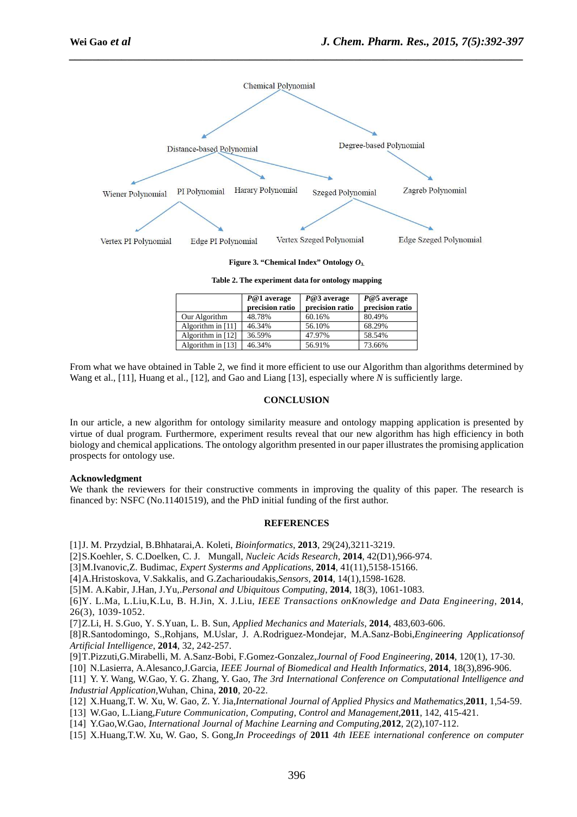

*\_\_\_\_\_\_\_\_\_\_\_\_\_\_\_\_\_\_\_\_\_\_\_\_\_\_\_\_\_\_\_\_\_\_\_\_\_\_\_\_\_\_\_\_\_\_\_\_\_\_\_\_\_\_\_\_\_\_\_\_\_\_\_\_\_\_\_\_\_\_\_\_\_\_\_\_\_\_*

**Figure 3. "Chemical Index" Ontology** *O***3.** 

**Table 2. The experiment data for ontology mapping** 

|                     | $P@1$ average<br>precision ratio | $P@3$ average<br>precision ratio | $P@5$ average<br>precision ratio |
|---------------------|----------------------------------|----------------------------------|----------------------------------|
| Our Algorithm       | 48.78%                           | 60.16%                           | 80.49%                           |
| Algorithm in $[11]$ | 46.34%                           | 56.10%                           | 68.29%                           |
| Algorithm in $[12]$ | 36.59%                           | 47.97%                           | 58.54%                           |
| Algorithm in $[13]$ | 46.34%                           | 56.91%                           | 73.66%                           |

From what we have obtained in Table 2, we find it more efficient to use our Algorithm than algorithms determined by Wang et al., [11], Huang et al., [12], and Gao and Liang [13], especially where *N* is sufficiently large.

# **CONCLUSION**

In our article, a new algorithm for ontology similarity measure and ontology mapping application is presented by virtue of dual program. Furthermore, experiment results reveal that our new algorithm has high efficiency in both biology and chemical applications. The ontology algorithm presented in our paper illustrates the promising application prospects for ontology use.

## **Acknowledgment**

We thank the reviewers for their constructive comments in improving the quality of this paper. The research is financed by: NSFC (No.11401519), and the PhD initial funding of the first author.

## **REFERENCES**

[1]J. M. Przydzial, B.Bhhatarai,A. Koleti, *Bioinformatics*, **2013**, 29(24),3211-3219.

[2]S.Koehler, S. C.Doelken, C. J. Mungall, *Nucleic Acids Research*, **2014**, 42(D1),966-974.

[3]M.Ivanovic,Z. Budimac, *Expert Systerms and Applications*, **2014**, 41(11),5158-15166.

[4]A.Hristoskova, V.Sakkalis, and G.Zacharioudakis,*Sensors*, **2014**, 14(1),1598-1628.

[5]M. A.Kabir, J.Han, J.Yu,.*Personal and Ubiquitous Computing*, **2014**, 18(3), 1061-1083.

[6]Y. L.Ma, L.Liu,K.Lu, B. H.Jin, X. J.Liu, *IEEE Transactions onKnowledge and Data Engineering*, **2014**, 26(3), 1039-1052.

[7]Z.Li, H. S.Guo, Y. S.Yuan, L. B. Sun, *Applied Mechanics and Materials*, **2014**, 483,603-606.

[8]R.Santodomingo, S.,Rohjans, M.Uslar, J. A.Rodriguez-Mondejar, M.A.Sanz-Bobi,*Engineering Applicationsof Artificial Intelligence*, **2014**, 32, 242-257.

[9]T.Pizzuti,G.Mirabelli, M. A.Sanz-Bobi, F.Gomez-Gonzalez,*Journal of Food Engineering*, **2014**, 120(1), 17-30.

[10] N.Lasierra, A.Alesanco,J.Garcia, *IEEE Journal of Biomedical and Health Informatics*, **2014**, 18(3),896-906.

[11] Y. Y. Wang, W.Gao, Y. G. Zhang, Y. Gao, *The 3rd International Conference on Computational Intelligence and Industrial Application,*Wuhan, China, **2010**, 20-22.

[12] X.Huang,T. W. Xu, W. Gao, Z. Y. Jia,*International Journal of Applied Physics and Mathematics,***2011**, 1,54-59.

- [13] W.Gao, L.Liang,*Future Communication, Computing, Control and Management,***2011**, 142, 415-421.
- [14] Y.Gao,W.Gao, *International Journal of Machine Learning and Computing,***2012**, 2(2),107-112.
- [15] X.Huang,T.W. Xu, W. Gao, S. Gong,*In Proceedings of* **2011** *4th IEEE international conference on computer*